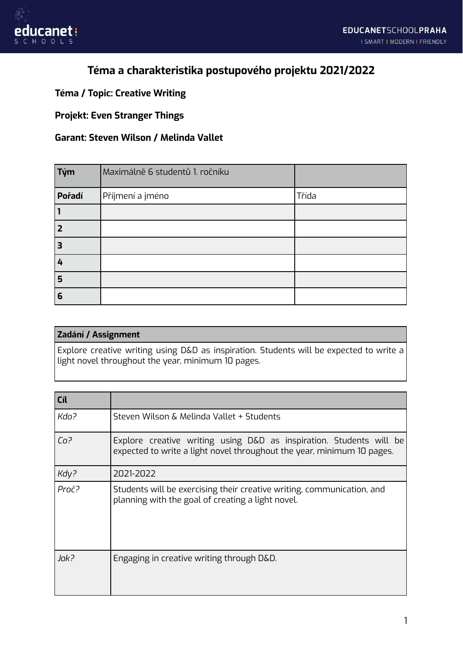

# **Téma a charakteristika postupového projektu 2021/2022**

### **Téma / Topic: Creative Writing**

#### **Projekt: Even Stranger Things**

#### **Garant: Steven Wilson / Melinda Vallet**

| $\vert$ Tým | Maximálně 6 studentů 1. ročníku |       |
|-------------|---------------------------------|-------|
| Pořadí      | Příjmení a jméno                | Třída |
|             |                                 |       |
| 2           |                                 |       |
| 3           |                                 |       |
| 4           |                                 |       |
| 5           |                                 |       |
| 6           |                                 |       |

## **Zadání / Assignment** Explore creative writing using D&D as inspiration. Students will be expected to write a light novel throughout the year, minimum 10 pages.

| Cíl             |                                                                                                                                               |  |
|-----------------|-----------------------------------------------------------------------------------------------------------------------------------------------|--|
| Kdo?            | Steven Wilson & Melinda Vallet + Students                                                                                                     |  |
| Co <sup>2</sup> | Explore creative writing using D&D as inspiration. Students will be<br>expected to write a light novel throughout the year, minimum 10 pages. |  |
| Kdy?            | 2021-2022                                                                                                                                     |  |
| Proč?           | Students will be exercising their creative writing, communication, and<br>planning with the goal of creating a light novel.                   |  |
| Jak?            | Engaging in creative writing through D&D.                                                                                                     |  |